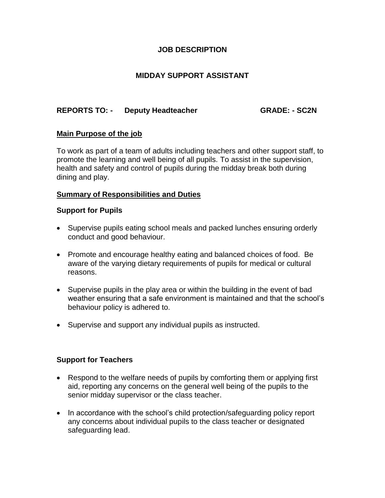# **JOB DESCRIPTION**

# **MIDDAY SUPPORT ASSISTANT**

# **REPORTS TO: - Deputy Headteacher GRADE: - SC2N**

### **Main Purpose of the job**

To work as part of a team of adults including teachers and other support staff, to promote the learning and well being of all pupils. To assist in the supervision, health and safety and control of pupils during the midday break both during dining and play.

## **Summary of Responsibilities and Duties**

### **Support for Pupils**

- Supervise pupils eating school meals and packed lunches ensuring orderly conduct and good behaviour.
- Promote and encourage healthy eating and balanced choices of food. Be aware of the varying dietary requirements of pupils for medical or cultural reasons.
- Supervise pupils in the play area or within the building in the event of bad weather ensuring that a safe environment is maintained and that the school's behaviour policy is adhered to.
- Supervise and support any individual pupils as instructed.

# **Support for Teachers**

- Respond to the welfare needs of pupils by comforting them or applying first aid, reporting any concerns on the general well being of the pupils to the senior midday supervisor or the class teacher.
- In accordance with the school's child protection/safeguarding policy report any concerns about individual pupils to the class teacher or designated safeguarding lead.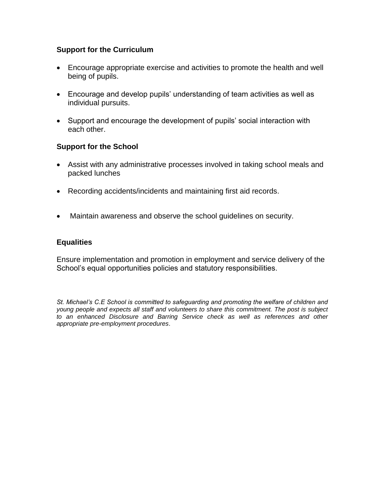# **Support for the Curriculum**

- Encourage appropriate exercise and activities to promote the health and well being of pupils.
- Encourage and develop pupils' understanding of team activities as well as individual pursuits.
- Support and encourage the development of pupils' social interaction with each other.

# **Support for the School**

- Assist with any administrative processes involved in taking school meals and packed lunches
- Recording accidents/incidents and maintaining first aid records.
- Maintain awareness and observe the school guidelines on security.

# **Equalities**

Ensure implementation and promotion in employment and service delivery of the School's equal opportunities policies and statutory responsibilities.

*St. Michael's C.E School is committed to safeguarding and promoting the welfare of children and young people and expects all staff and volunteers to share this commitment. The post is subject to an enhanced Disclosure and Barring Service check as well as references and other appropriate pre-employment procedures*.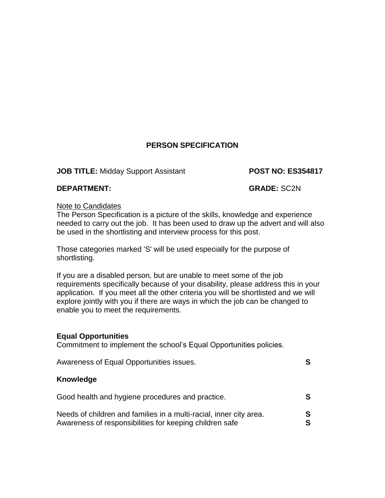# **PERSON SPECIFICATION**

## **JOB TITLE:** Midday Support Assistant **POST NO: ES354817**

## **DEPARTMENT: GRADE:** SC2N

### Note to Candidates

The Person Specification is a picture of the skills, knowledge and experience needed to carry out the job. It has been used to draw up the advert and will also be used in the shortlisting and interview process for this post.

Those categories marked 'S' will be used especially for the purpose of shortlisting.

If you are a disabled person, but are unable to meet some of the job requirements specifically because of your disability, please address this in your application. If you meet all the other criteria you will be shortlisted and we will explore jointly with you if there are ways in which the job can be changed to enable you to meet the requirements.

# **Equal Opportunities**

Commitment to implement the school's Equal Opportunities policies.

| Awareness of Equal Opportunities issues.                                                                                                                                          | S           |
|-----------------------------------------------------------------------------------------------------------------------------------------------------------------------------------|-------------|
| Knowledge                                                                                                                                                                         |             |
| Good health and hygiene procedures and practice.<br>Needs of children and families in a multi-racial, inner city area.<br>Awareness of responsibilities for keeping children safe | S<br>S<br>S |